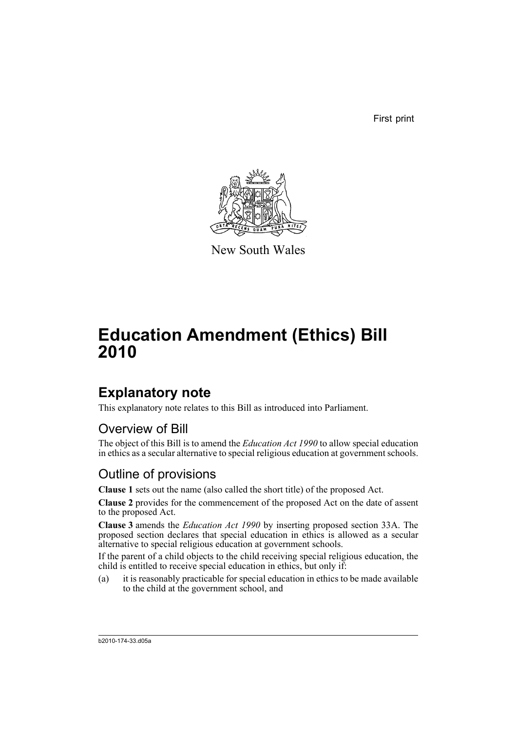First print



New South Wales

# **Education Amendment (Ethics) Bill 2010**

## **Explanatory note**

This explanatory note relates to this Bill as introduced into Parliament.

#### Overview of Bill

The object of this Bill is to amend the *Education Act 1990* to allow special education in ethics as a secular alternative to special religious education at government schools.

#### Outline of provisions

**Clause 1** sets out the name (also called the short title) of the proposed Act.

**Clause 2** provides for the commencement of the proposed Act on the date of assent to the proposed Act.

**Clause 3** amends the *Education Act 1990* by inserting proposed section 33A. The proposed section declares that special education in ethics is allowed as a secular alternative to special religious education at government schools.

If the parent of a child objects to the child receiving special religious education, the child is entitled to receive special education in ethics, but only if:

(a) it is reasonably practicable for special education in ethics to be made available to the child at the government school, and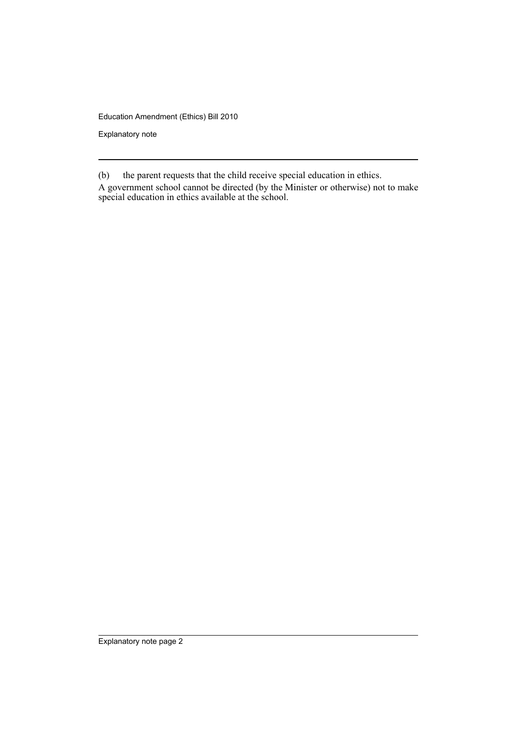Education Amendment (Ethics) Bill 2010

Explanatory note

(b) the parent requests that the child receive special education in ethics.

A government school cannot be directed (by the Minister or otherwise) not to make special education in ethics available at the school.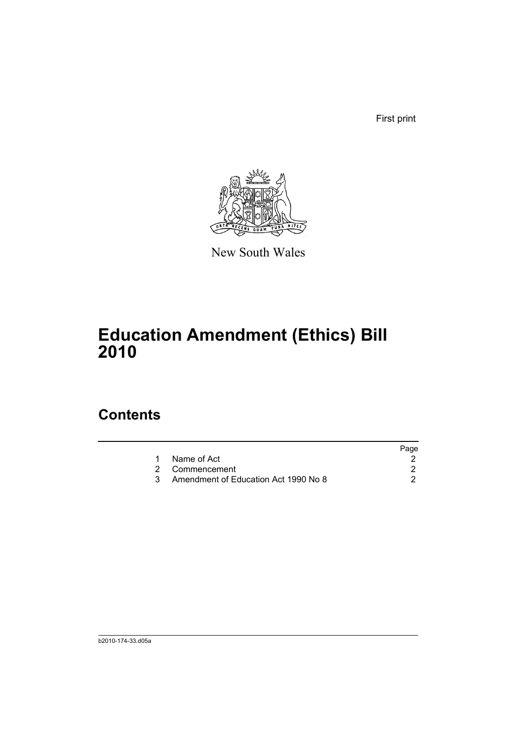First print



New South Wales

## **Education Amendment (Ethics) Bill 2010**

### **Contents**

|                |                                      | Page |
|----------------|--------------------------------------|------|
| Name of Act    |                                      |      |
| 2 Commencement |                                      |      |
|                | Amendment of Education Act 1990 No 8 |      |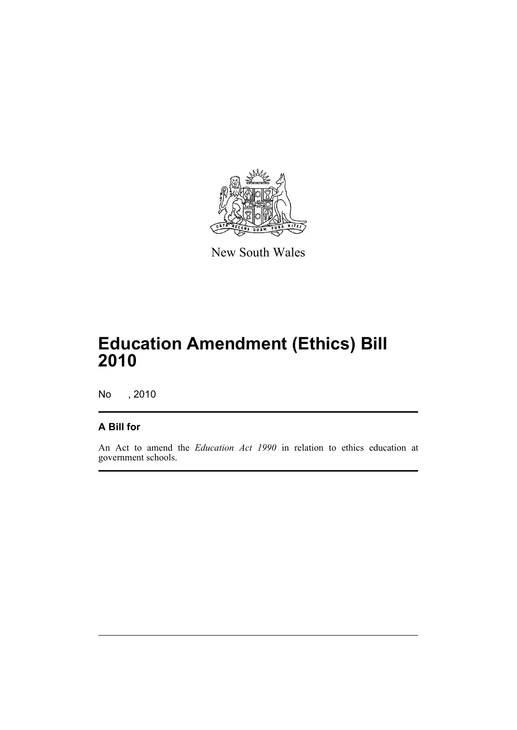

New South Wales

## **Education Amendment (Ethics) Bill 2010**

No , 2010

#### **A Bill for**

An Act to amend the *Education Act 1990* in relation to ethics education at government schools.